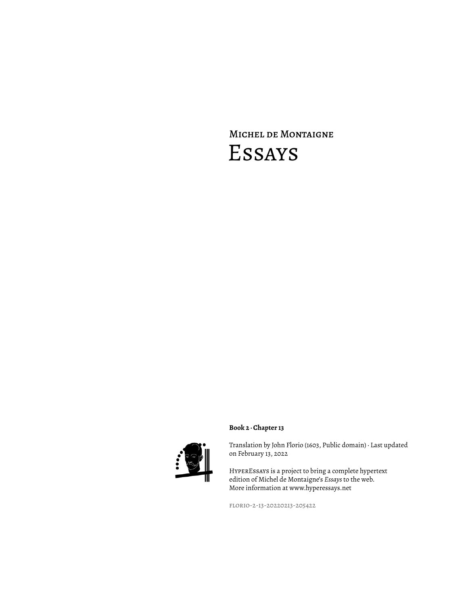# Michel de Montaigne Essays





Translation by John Florio (1603, Public domain) · Last updated on February 13, 2022

HyperEssays is a project to bring a complete hypertext edition of Michel de Montaigne's *Essays* to the web. More information at www.hyperessays.net

florio-2-13-20220213-205422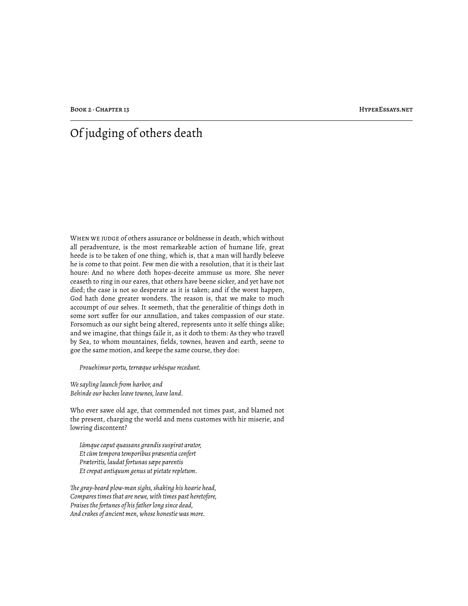## Of judging of others death

WHEN WE JUDGE of others assurance or boldnesse in death, which without all peradventure, is the most remarkeable action of humane life, great heede is to be taken of one thing, which is, that a man will hardly beleeve he is come to that point. Few men die with a resolution, that it is their last houre: And no where doth hopes-deceite ammuse us more. She never ceaseth to ring in our eares, that others have beene sicker, and yet have not died; the case is not so desperate as it is taken; and if the worst happen, God hath done greater wonders. The reason is, that we make to much accoumpt of our selves. It seemeth, that the generalitie of things doth in some sort suffer for our annullation, and takes compassion of our state. Forsomuch as our sight being altered, represents unto it selfe things alike; and we imagine, that things faile it, as it doth to them: As they who travell by Sea, to whom mountaines, fields, townes, heaven and earth, seene to goe the same motion, and keepe the same course, they doe:

*Prouehimur portu, terræque urbésque recedunt.*

*We sayling launch from harbor, and Behinde our backes leave townes, leave land.*

Who ever sawe old age, that commended not times past, and blamed not the present, charging the world and mens customes with hir miserie, and lowring discontent?

*Iámque caput quassans grandis suspirat arator, Et cùm tempora temporibus præsentia confert Præteritis, laudat fortunas sæpe parentis Et crepat antiquum genus ut pietate repletum.*

*!e gray-beard plow-man sighs, shaking his hoarie head, Compares times that are newe, with times past heretofore, Praises the fortunes of his father long since dead, And crakes of ancient men, whose honestie was more.*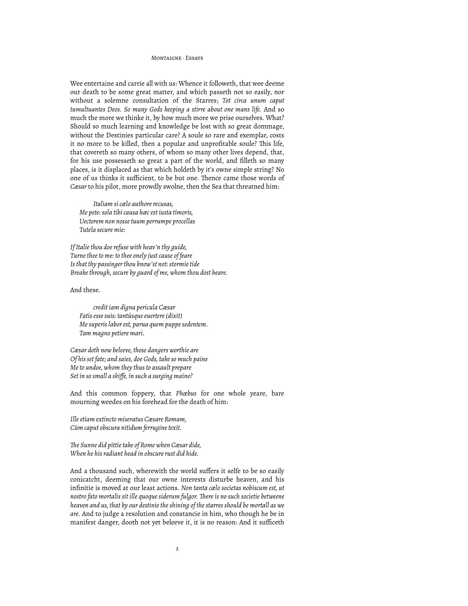#### MONTAIGNE, Feeave

Wee entertaine and carrie all with us: Whence it followeth, that wee deeme our death to be some great matter, and which passeth not so easily, nor without a solemne consultation of the Starres; *Tot circa unum caput tumultuantes Deos. So many Gods keeping a stirre about one mans life.* And so much the more we thinke it, by how much more we prise ourselves. What? Should so much learning and knowledge be lost with so great dommage, without the Destinies particular care? A soule so rare and exemplar, costs it no more to be killed, then a popular and unprofitable soule? This life, that covereth so many others, of whom so many other lives depend, that, for his use possesseth so great a part of the world, and filleth so many places, is it displaced as that which holdeth by it's owne simple string? No one of us thinks it sufficient, to be but one. Thence came those words of *Cæsar* to his pilot, more prowdly swolne, then the Sea that threatned him:

*Italiam si cælo authore recusas, Me pete: sola tibi causa hæc est iusta timoris, Uectorem non nosse tuum perrumpe procellas Tutela secure mie:*

*If Italie thou doe refuse with heav'n thy guide, Turne thee to me: to thee onely just cause of feare Is that thy passinger thou know'st not: stormie tide Breake through, secure by guard of me, whom thou dost beare.*

## And these.

*credit iam digna pericula Cæsar Fatis esse suis: tantúsque euertere (dixit) Me superis labor est, parua quem puppe sedentem. Tam magno petiere mari.*

*Cæsar doth now beleeve, those dangers worthie are Of his set fate; and saies, doe Gods, take so much paine Me to undoe, whom they thus to assault prepare Set in so small a skiffe, in such a surging maine?*

And this common foppery, that *Phœbus* for one whole yeare, bare mourning weedes on his forehead for the death of him:

*Ille etiam extincto miseratus Cæsare Romam, Cùm caput obscura nitidum ferrugine texit.*

*!e Sunne did pittie take of Rome when Cæsar dide, When he his radiant head in obscure rust did hide.*

And a thousand such, wherewith the world suffers it selfe to be so easily conicatcht, deeming that our owne interests disturbe heaven, and his infinitie is moved at our least actions. *Non tanta cælo societas nobiscum est, ut nostro fato mortalis sit ille quoque siderum fulgor. !ere is no such societie betweene heaven and us, that by our destinie the shining of the starres should be mortall as we are.* And to judge a resolution and constancie in him, who though he be in manifest danger, dooth not yet beleeve it, it is no reason: And it sufficeth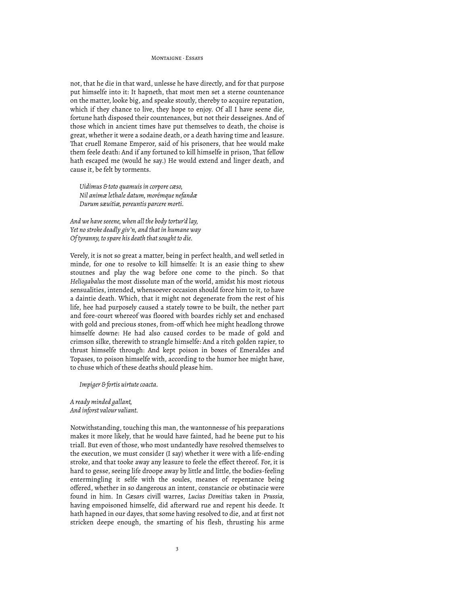#### MONTAIGNE, Feeave

not, that he die in that ward, unlesse he have directly, and for that purpose put himselfe into it: It hapneth, that most men set a sterne countenance on the matter, looke big, and speake stoutly, thereby to acquire reputation, which if they chance to live, they hope to enjoy. Of all I have seene die, fortune hath disposed their countenances, but not their desseignes. And of those which in ancient times have put themselves to death, the choise is great, whether it were a sodaine death, or a death having time and leasure. That cruell Romane Emperor, said of his prisoners, that hee would make them feele death: And if any fortuned to kill himselfe in prison, That fellow hath escaped me (would he say.) He would extend and linger death, and cause it, be felt by torments.

*Uidimus & toto quamuis in corpore cæso, Nil animæ lethale datum, morémque nefandæ Durum sæuitiæ, pereuntis parcere morti.*

*And we have seeene, when all the body tortur'd lay, Yet no stroke deadly giv'n, and that in humane way Of tyranny, to spare his death that sought to die.*

Verely, it is not so great a matter, being in perfect health, and well setled in minde, for one to resolve to kill himselfe: It is an easie thing to shew stoutnes and play the wag before one come to the pinch. So that *Heliogabalus* the most dissolute man of the world, amidst his most riotous sensualities, intended, whensoever occasion should force him to it, to have a daintie death. Which, that it might not degenerate from the rest of his life, hee had purposely caused a stately towre to be built, the nether part and fore-court whereof was floored with boardes richly set and enchased with gold and precious stones, from-off which hee might headlong throwe himselfe downe: He had also caused cordes to be made of gold and crimson silke, therewith to strangle himselfe: And a ritch golden rapier, to thrust himselfe through: And kept poison in boxes of Emeraldes and Topases, to poison himselfe with, according to the humor hee might have, to chuse which of these deaths should please him.

*Impiger & fortis uirtute coacta.*

*A ready minded gallant, And inforst valour valiant.*

Notwithstanding, touching this man, the wantonnesse of his preparations makes it more likely, that he would have fainted, had he beene put to his triall. But even of those, who most undantedly have resolved themselves to the execution, we must consider (I say) whether it were with a life-ending stroke, and that tooke away any leasure to feele the effect thereof. For, it is hard to gesse, seeing life droope away by little and little, the bodies-feeling entermingling it selfe with the soules, meanes of repentance being offered, whether in so dangerous an intent, constancie or obstinacie were found in him. In *Cæsars* civill warres, *Lucius Domitius* taken in *Prussia,* having empoisoned himselfe, did afterward rue and repent his deede. It hath hapned in our dayes, that some having resolved to die, and at first not stricken deepe enough, the smarting of his flesh, thrusting his arme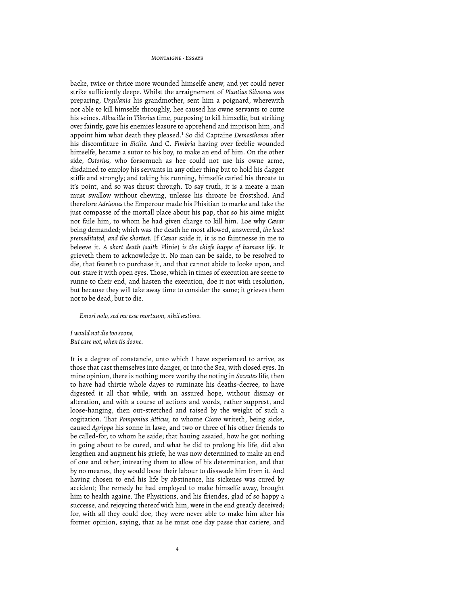#### MONTAIGNE · ESSAVE

backe, twice or thrice more wounded himselfe anew, and yet could never strike sufficiently deepe. Whilst the arraignement of *Plantius Silvanus* was preparing, *Urgulania* his grandmother, sent him a poignard, wherewith not able to kill himselfe throughly, hee caused his owne servants to cutte his veines. *Albucilla* in *Tiberius* time, purposing to kill himselfe, but striking over faintly, gave his enemies leasure to apprehend and imprison him, and appoint him what death they pleased.<sup>1</sup> So did Captaine *Demosthenes* after his discomfiture in *Sicilie.* And C. *Fimbria* having over feeblie wounded himselfe, became a sutor to his boy, to make an end of him. On the other side, *Ostorius,* who forsomuch as hee could not use his owne arme, disdained to employ his servants in any other thing but to hold his dagger stiffe and strongly; and taking his running, himselfe caried his throate to it's point, and so was thrust through. To say truth, it is a meate a man must swallow without chewing, unlesse his throate be frostshod. And therefore *Adrianus* the Emperour made his Phisitian to marke and take the just compasse of the mortall place about his pap, that so his aime might not faile him, to whom he had given charge to kill him. Loe why *Cæsar* being demanded; which was the death he most allowed, answered, *the least premeditated, and the shortest.* If *Cæsar* saide it, it is no faintnesse in me to beleeve it. *A short death (saith* Plinie) *is the chiefe happe of humane life.* It grieveth them to acknowledge it. No man can be saide, to be resolved to die, that feareth to purchase it, and that cannot abide to looke upon, and out-stare it with open eyes. Those, which in times of execution are seene to runne to their end, and hasten the execution, doe it not with resolution, but because they will take away time to consider the same; it grieves them not to be dead, but to die.

*Emori nolo, sed me esse mortuum, nihil æstimo.*

*I would not die too soone, But care not, when tis doone.*

It is a degree of constancie, unto which I have experienced to arrive, as those that cast themselves into danger, or into the Sea, with closed eyes. In mine opinion, there is nothing more worthy the noting in *Socrates* life, then to have had thirtie whole dayes to ruminate his deaths-decree, to have digested it all that while, with an assured hope, without dismay or alteration, and with a course of actions and words, rather supprest, and loose-hanging, then out-stretched and raised by the weight of such a cogitation. That *Pomponius Atticus*, to whome *Cicero* writeth, being sicke, caused *Agrippa* his sonne in lawe, and two or three of his other friends to be called-for, to whom he saide; that hauing assaied, how he got nothing in going about to be cured, and what he did to prolong his life, did also lengthen and augment his griefe, he was now determined to make an end of one and other; intreating them to allow of his determination, and that by no meanes, they would loose their labour to disswade him from it. And having chosen to end his life by abstinence, his sickenes was cured by accident; The remedy he had employed to make himselfe away, brought him to health againe. The Physitions, and his friendes, glad of so happy a successe, and rejoycing thereof with him, were in the end greatly deceived; for, with all they could doe, they were never able to make him alter his former opinion, saying, that as he must one day passe that cariere, and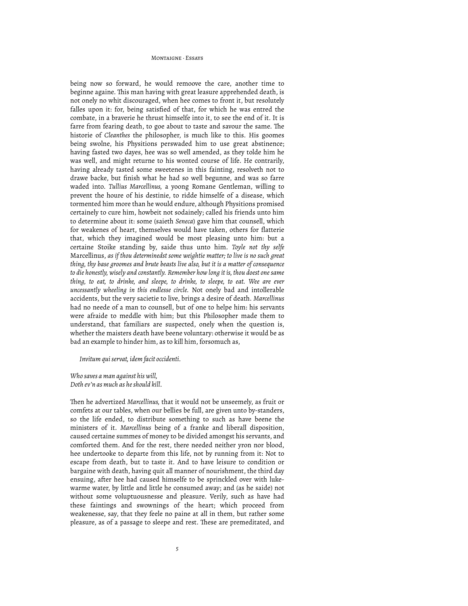#### MONTAIGNE, Feeave

being now so forward, he would remoove the care, another time to beginne againe. This man having with great leasure apprehended death, is not onely no whit discouraged, when hee comes to front it, but resolutely falles upon it: for, being satisfied of that, for which he was entred the combate, in a braverie he thrust himselfe into it, to see the end of it. It is farre from fearing death, to goe about to taste and savour the same. The historie of *Cleanthes* the philosopher, is much like to this. His goomes being swolne, his Physitions perswaded him to use great abstinence; having fasted two dayes, hee was so well amended, as they tolde him he was well, and might returne to his wonted course of life. He contrarily, having already tasted some sweetenes in this fainting, resolveth not to drawe backe, but finish what he had so well begunne, and was so farre waded into. *Tullius Marcellinus,* a yoong Romane Gentleman, willing to prevent the houre of his destinie, to ridde himselfe of a disease, which tormented him more than he would endure, although Physitions promised certainely to cure him, howbeit not sodainely; called his friends unto him to determine about it: some (saieth *Seneca*) gave him that counsell, which for weakenes of heart, themselves would have taken, others for flatterie that, which they imagined would be most pleasing unto him: but a certaine Stoike standing by, saide thus unto him. *Toyle not thy selfe* Marcellinus, *as if thou determinedst some weightie matter; to live is no such great thing, thy base groomes and brute beasts live also, but it is a matter of consequence to die honestly, wisely and constantly. Remember how long it is, thou doest one same thing, to eat, to drinke, and sleepe, to drinke, to sleepe, to eat. Wee are ever uncessantly wheeling in this endlesse circle.* Not onely bad and intollerable accidents, but the very sacietie to live, brings a desire of death. *Marcellinus* had no neede of a man to counsell, but of one to helpe him: his servants were afraide to meddle with him; but this Philosopher made them to understand, that familiars are suspected, onely when the question is, whether the maisters death have beene voluntary: otherwise it would be as bad an example to hinder him, as to kill him, forsomuch as,

*Invitum qui servat, idem facit occidenti.*

### *Who saves a man against his will, Doth ev'n as much as he should kill.*

Then he advertized *Marcellinus*, that it would not be unseemely, as fruit or comfets at our tables, when our bellies be full, are given unto by-standers, so the life ended, to distribute something to such as have beene the ministers of it. *Marcellinus* being of a franke and liberall disposition, caused certaine summes of money to be divided amongst his servants, and comforted them. And for the rest, there needed neither yron nor blood, hee undertooke to departe from this life, not by running from it: Not to escape from death, but to taste it. And to have leisure to condition or bargaine with death, having quit all manner of nourishment, the third day ensuing, after hee had caused himselfe to be sprinckled over with lukewarme water, by little and little he consumed away; and (as he saide) not without some voluptuousnesse and pleasure. Verily, such as have had these faintings and swownings of the heart; which proceed from weakenesse, say, that they feele no paine at all in them, but rather some pleasure, as of a passage to sleepe and rest. These are premeditated, and